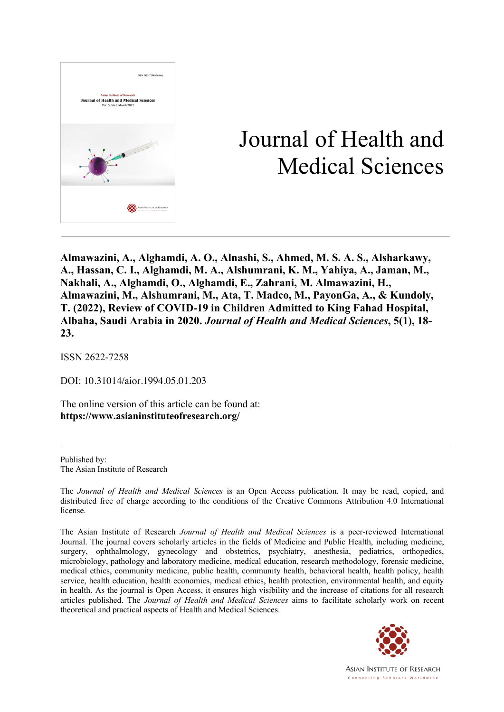

# Journal of Health and Medical Sciences

**Almawazini, A., Alghamdi, A. O., Alnashi, S., Ahmed, M. S. A. S., Alsharkawy, A., Hassan, C. I., Alghamdi, M. A., Alshumrani, K. M., Yahiya, A., Jaman, M., Nakhali, A., Alghamdi, O., Alghamdi, E., Zahrani, M. Almawazini, H., Almawazini, M., Alshumrani, M., Ata, T. Madco, M., PayonGa, A., & Kundoly, T. (2022), Review of COVID-19 in Children Admitted to King Fahad Hospital, Albaha, Saudi Arabia in 2020.** *Journal of Health and Medical Sciences***, 5(1), 18- 23.**

ISSN 2622-7258

DOI: 10.31014/aior.1994.05.01.203

The online version of this article can be found at: **https://www.asianinstituteofresearch.org/**

Published by: The Asian Institute of Research

The *Journal of Health and Medical Sciences* is an Open Access publication. It may be read, copied, and distributed free of charge according to the conditions of the Creative Commons Attribution 4.0 International license.

The Asian Institute of Research *Journal of Health and Medical Sciences* is a peer-reviewed International Journal. The journal covers scholarly articles in the fields of Medicine and Public Health, including medicine, surgery, ophthalmology, gynecology and obstetrics, psychiatry, anesthesia, pediatrics, orthopedics, microbiology, pathology and laboratory medicine, medical education, research methodology, forensic medicine, medical ethics, community medicine, public health, community health, behavioral health, health policy, health service, health education, health economics, medical ethics, health protection, environmental health, and equity in health. As the journal is Open Access, it ensures high visibility and the increase of citations for all research articles published. The *Journal of Health and Medical Sciences* aims to facilitate scholarly work on recent theoretical and practical aspects of Health and Medical Sciences.



**ASIAN INSTITUTE OF RESEARCH** Connecting Scholars Worldwide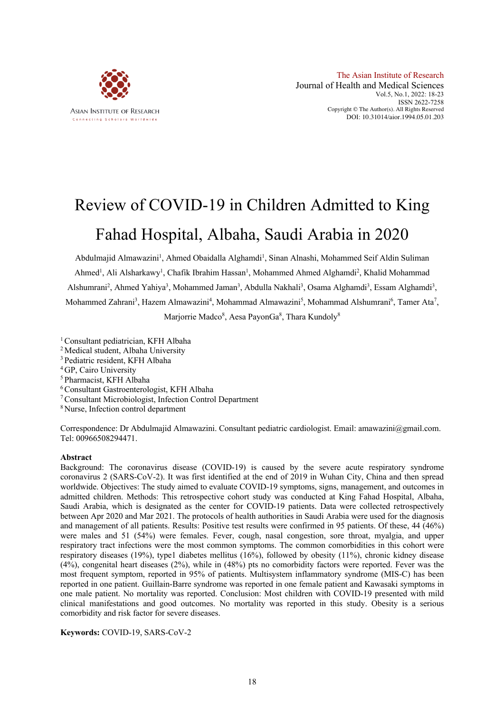

# Review of COVID-19 in Children Admitted to King Fahad Hospital, Albaha, Saudi Arabia in 2020

Abdulmajid Almawazini<sup>1</sup>, Ahmed Obaidalla Alghamdi<sup>1</sup>, Sinan Alnashi, Mohammed Seif Aldin Suliman Ahmed<sup>1</sup>, Ali Alsharkawy<sup>1</sup>, Chafik Ibrahim Hassan<sup>1</sup>, Mohammed Ahmed Alghamdi<sup>2</sup>, Khalid Mohammad Alshumrani<sup>2</sup>, Ahmed Yahiya<sup>3</sup>, Mohammed Jaman<sup>3</sup>, Abdulla Nakhali<sup>3</sup>, Osama Alghamdi<sup>3</sup>, Essam Alghamdi<sup>3</sup>, Mohammed Zahrani<sup>3</sup>, Hazem Almawazini<sup>4</sup>, Mohammad Almawazini<sup>5</sup>, Mohammad Alshumrani<sup>6</sup>, Tamer Ata<sup>7</sup>, Marjorrie Madco<sup>8</sup>, Aesa PayonGa<sup>8</sup>, Thara Kundoly<sup>8</sup>

- <sup>1</sup> Consultant pediatrician, KFH Albaha
- 2 Medical student, Albaha University
- 3 Pediatric resident, KFH Albaha
- <sup>4</sup> GP, Cairo University
- 5 Pharmacist, KFH Albaha
- 6 Consultant Gastroenterologist, KFH Albaha
- 7Consultant Microbiologist, Infection Control Department
- <sup>8</sup> Nurse, Infection control department

Correspondence: Dr Abdulmajid Almawazini. Consultant pediatric cardiologist. Email: amawazini@gmail.com. Tel: 00966508294471.

#### **Abstract**

Background: The coronavirus disease (COVID-19) is caused by the severe acute respiratory syndrome coronavirus 2 (SARS-CoV-2). It was first identified at the end of 2019 in Wuhan City, China and then spread worldwide. Objectives: The study aimed to evaluate COVID-19 symptoms, signs, management, and outcomes in admitted children. Methods: This retrospective cohort study was conducted at King Fahad Hospital, Albaha, Saudi Arabia, which is designated as the center for COVID-19 patients. Data were collected retrospectively between Apr 2020 and Mar 2021. The protocols of health authorities in Saudi Arabia were used for the diagnosis and management of all patients. Results: Positive test results were confirmed in 95 patients. Of these, 44 (46%) were males and 51 (54%) were females. Fever, cough, nasal congestion, sore throat, myalgia, and upper respiratory tract infections were the most common symptoms. The common comorbidities in this cohort were respiratory diseases (19%), type1 diabetes mellitus (16%), followed by obesity (11%), chronic kidney disease (4%), congenital heart diseases (2%), while in (48%) pts no comorbidity factors were reported. Fever was the most frequent symptom, reported in 95% of patients. Multisystem inflammatory syndrome (MIS-C) has been reported in one patient. Guillain-Barre syndrome was reported in one female patient and Kawasaki symptoms in one male patient. No mortality was reported. Conclusion: Most children with COVID-19 presented with mild clinical manifestations and good outcomes. No mortality was reported in this study. Obesity is a serious comorbidity and risk factor for severe diseases.

**Keywords:** COVID-19, SARS-CoV-2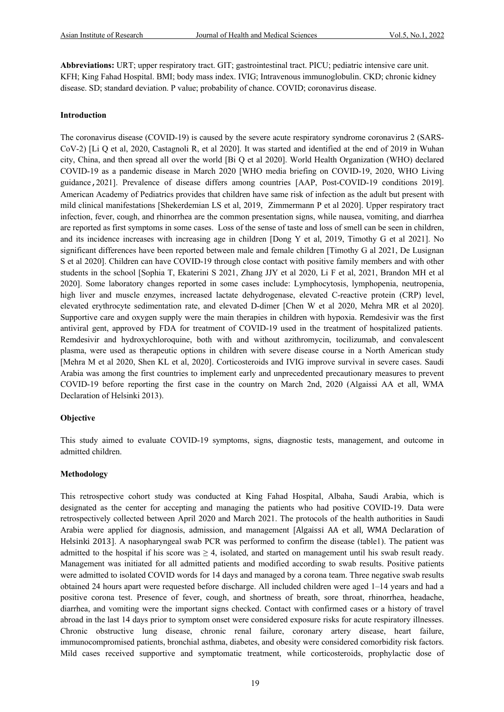**Abbreviations:** URT; upper respiratory tract. GIT; gastrointestinal tract. PICU; pediatric intensive care unit. KFH; King Fahad Hospital. BMI; body mass index. IVIG; Intravenous immunoglobulin. CKD; chronic kidney disease. SD; standard deviation. P value; probability of chance. COVID; coronavirus disease.

#### **Introduction**

The coronavirus disease (COVID-19) is caused by the severe acute respiratory syndrome coronavirus 2 (SARS-CoV-2) [Li Q et al, 2020, Castagnoli R, et al 2020]. It was started and identified at the end of 2019 in Wuhan city, China, and then spread all over the world [Bi Q et al 2020]. World Health Organization (WHO) declared COVID-19 as a pandemic disease in March 2020 [WHO media briefing on COVID-19, 2020, WHO Living guidance**,**2021]. Prevalence of disease differs among countries [AAP, Post-COVID-19 conditions 2019]. American Academy of Pediatrics provides that children have same risk of infection as the adult but present with mild clinical manifestations [Shekerdemian LS et al, 2019, Zimmermann P et al 2020]. Upper respiratory tract infection, fever, cough, and rhinorrhea are the common presentation signs, while nausea, vomiting, and diarrhea are reported as first symptoms in some cases. Loss of the sense of taste and loss of smell can be seen in children, and its incidence increases with increasing age in children [Dong Y et al, 2019, Timothy G et al 2021]. No significant differences have been reported between male and female children [Timothy G al 2021, De Lusignan S et al 2020]. Children can have COVID-19 through close contact with positive family members and with other students in the school [Sophia T, Ekaterini S 2021, Zhang JJY et al 2020, Li F et al, 2021, Brandon MH et al 2020]. Some laboratory changes reported in some cases include: Lymphocytosis, lymphopenia, neutropenia, high liver and muscle enzymes, increased lactate dehydrogenase, elevated C-reactive protein (CRP) level, elevated erythrocyte sedimentation rate, and elevated D-dimer [Chen W et al 2020, Mehra MR et al 2020]. Supportive care and oxygen supply were the main therapies in children with hypoxia. Remdesivir was the first antiviral gent, approved by FDA for treatment of COVID-19 used in the treatment of hospitalized patients. Remdesivir and hydroxychloroquine, both with and without azithromycin, tocilizumab, and convalescent plasma, were used as therapeutic options in children with severe disease course in a North American study [Mehra M et al 2020, Shen KL et al, 2020]. Corticosteroids and IVIG improve survival in severe cases. Saudi Arabia was among the first countries to implement early and unprecedented precautionary measures to prevent COVID-19 before reporting the first case in the country on March 2nd, 2020 (Algaissi AA et all, WMA Declaration of Helsinki 2013).

## **Objective**

This study aimed to evaluate COVID-19 symptoms, signs, diagnostic tests, management, and outcome in admitted children.

## **Methodology**

This retrospective cohort study was conducted at King Fahad Hospital, Albaha, Saudi Arabia, which is designated as the center for accepting and managing the patients who had positive COVID-19. Data were retrospectively collected between April 2020 and March 2021. The protocols of the health authorities in Saudi Arabia were applied for diagnosis, admission, and management [Algaissi AA et all, WMA Declaration of Helsinki 2013]. A nasopharyngeal swab PCR was performed to confirm the disease (table1). The patient was admitted to the hospital if his score was  $\geq 4$ , isolated, and started on management until his swab result ready. Management was initiated for all admitted patients and modified according to swab results. Positive patients were admitted to isolated COVID words for 14 days and managed by a corona team. Three negative swab results obtained 24 hours apart were requested before discharge. All included children were aged 1–14 years and had a positive corona test. Presence of fever, cough, and shortness of breath, sore throat, rhinorrhea, headache, diarrhea, and vomiting were the important signs checked. Contact with confirmed cases or a history of travel abroad in the last 14 days prior to symptom onset were considered exposure risks for acute respiratory illnesses. Chronic obstructive lung disease, chronic renal failure, coronary artery disease, heart failure, immunocompromised patients, bronchial asthma, diabetes, and obesity were considered comorbidity risk factors. Mild cases received supportive and symptomatic treatment, while corticosteroids, prophylactic dose of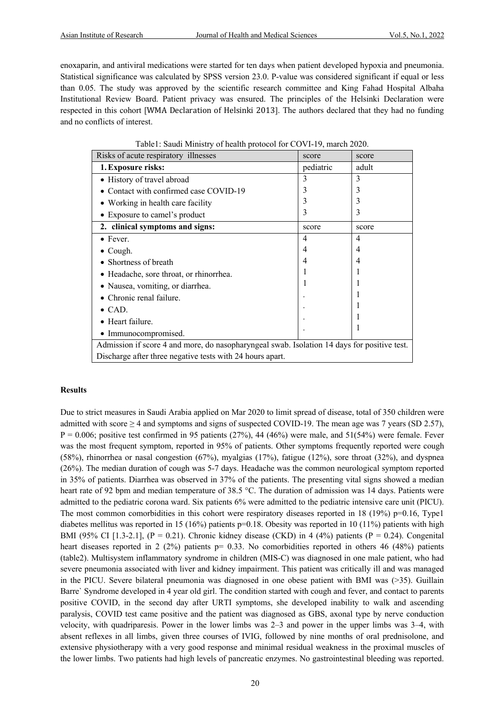enoxaparin, and antiviral medications were started for ten days when patient developed hypoxia and pneumonia. Statistical significance was calculated by SPSS version 23.0. P-value was considered significant if equal or less than 0.05. The study was approved by the scientific research committee and King Fahad Hospital Albaha Institutional Review Board. Patient privacy was ensured. The principles of the Helsinki Declaration were respected in this cohort [WMA Declaration of Helsinki 2013]. The authors declared that they had no funding and no conflicts of interest.

| Risks of acute respiratory illnesses                                                        | score          | score |  |  |  |
|---------------------------------------------------------------------------------------------|----------------|-------|--|--|--|
| 1. Exposure risks:                                                                          | pediatric      | adult |  |  |  |
| • History of travel abroad                                                                  | 3              | 3     |  |  |  |
| Contact with confirmed case COVID-19                                                        |                | 3     |  |  |  |
| • Working in health care facility                                                           |                | 3     |  |  |  |
| • Exposure to camel's product                                                               | 3              | 3     |  |  |  |
| 2. clinical symptoms and signs:                                                             | score          | score |  |  |  |
| $\bullet$ Fever.                                                                            | $\overline{4}$ | 4     |  |  |  |
| Cough.                                                                                      | 4              | 4     |  |  |  |
| Shortness of breath                                                                         | 4              | 4     |  |  |  |
| • Headache, sore throat, or rhinorrhea.                                                     |                |       |  |  |  |
| • Nausea, vomiting, or diarrhea.                                                            |                |       |  |  |  |
| Chronic renal failure.                                                                      |                |       |  |  |  |
| $\bullet$ CAD.                                                                              |                |       |  |  |  |
| • Heart failure.                                                                            |                |       |  |  |  |
| • Immunocompromised.                                                                        |                |       |  |  |  |
| Admission if score 4 and more, do nasopharyngeal swab. Isolation 14 days for positive test. |                |       |  |  |  |
| Discharge after three negative tests with 24 hours apart.                                   |                |       |  |  |  |

Table1: Saudi Ministry of health protocol for COVI-19, march 2020.

#### **Results**

Due to strict measures in Saudi Arabia applied on Mar 2020 to limit spread of disease, total of 350 children were admitted with score  $\geq$  4 and symptoms and signs of suspected COVID-19. The mean age was 7 years (SD 2.57),  $P = 0.006$ ; positive test confirmed in 95 patients (27%), 44 (46%) were male, and 51(54%) were female. Fever was the most frequent symptom, reported in 95% of patients. Other symptoms frequently reported were cough (58%), rhinorrhea or nasal congestion (67%), myalgias (17%), fatigue (12%), sore throat (32%), and dyspnea (26%). The median duration of cough was 5-7 days. Headache was the common neurological symptom reported in 35% of patients. Diarrhea was observed in 37% of the patients. The presenting vital signs showed a median heart rate of 92 bpm and median temperature of 38.5 °C. The duration of admission was 14 days. Patients were admitted to the pediatric corona ward. Six patients 6% were admitted to the pediatric intensive care unit (PICU). The most common comorbidities in this cohort were respiratory diseases reported in 18 (19%)  $p=0.16$ , Type1 diabetes mellitus was reported in 15 (16%) patients p=0.18. Obesity was reported in 10 (11%) patients with high BMI (95% CI [1.3-2.1], (P = 0.21). Chronic kidney disease (CKD) in 4 (4%) patients (P = 0.24). Congenital heart diseases reported in 2 (2%) patients  $p= 0.33$ . No comorbidities reported in others 46 (48%) patients (table2). Multisystem inflammatory syndrome in children (MIS-C) was diagnosed in one male patient, who had severe pneumonia associated with liver and kidney impairment. This patient was critically ill and was managed in the PICU. Severe bilateral pneumonia was diagnosed in one obese patient with BMI was (>35). Guillain Barre` Syndrome developed in 4 year old girl. The condition started with cough and fever, and contact to parents positive COVID, in the second day after URTI symptoms, she developed inability to walk and ascending paralysis, COVID test came positive and the patient was diagnosed as GBS, axonal type by nerve conduction velocity, with quadriparesis. Power in the lower limbs was 2–3 and power in the upper limbs was 3–4, with absent reflexes in all limbs, given three courses of IVIG, followed by nine months of oral prednisolone, and extensive physiotherapy with a very good response and minimal residual weakness in the proximal muscles of the lower limbs. Two patients had high levels of pancreatic enzymes. No gastrointestinal bleeding was reported.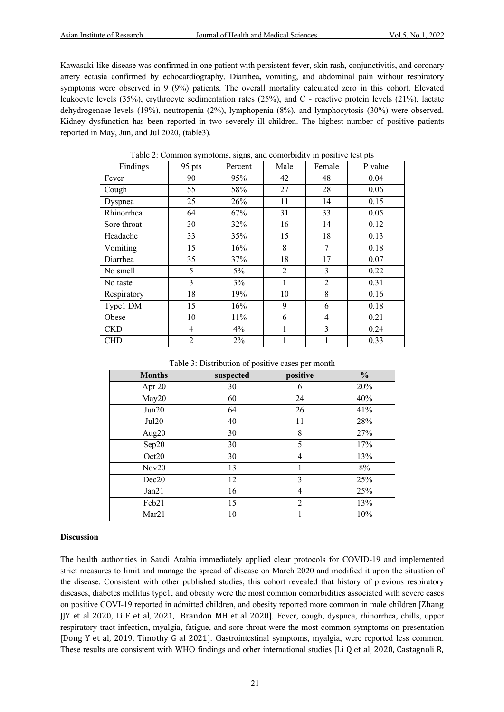Kawasaki-like disease was confirmed in one patient with persistent fever, skin rash, conjunctivitis, and coronary artery ectasia confirmed by echocardiography. Diarrhea**,** vomiting, and abdominal pain without respiratory symptoms were observed in 9 (9%) patients. The overall mortality calculated zero in this cohort. Elevated leukocyte levels (35%), erythrocyte sedimentation rates (25%), and C - reactive protein levels (21%), lactate dehydrogenase levels (19%), neutropenia (2%), lymphopenia (8%), and lymphocytosis (30%) were observed. Kidney dysfunction has been reported in two severely ill children. The highest number of positive patients reported in May, Jun, and Jul 2020, (table3).

| Findings    | 95 pts         | Percent | Male           | Female         | P value |
|-------------|----------------|---------|----------------|----------------|---------|
| Fever       | 90             | 95%     | 42             | 48             | 0.04    |
| Cough       | 55             | 58%     | 27             | 28             | 0.06    |
| Dyspnea     | 25             | 26%     | 11             | 14             | 0.15    |
| Rhinorrhea  | 64             | 67%     | 31             | 33             | 0.05    |
| Sore throat | 30             | 32%     | 16             | 14             | 0.12    |
| Headache    | 33             | 35%     | 15             | 18             | 0.13    |
| Vomiting    | 15             | 16%     | 8              | 7              | 0.18    |
| Diarrhea    | 35             | 37%     | 18             | 17             | 0.07    |
| No smell    | 5              | $5\%$   | $\overline{c}$ | 3              | 0.22    |
| No taste    | 3              | 3%      |                | $\overline{2}$ | 0.31    |
| Respiratory | 18             | 19%     | 10             | 8              | 0.16    |
| Type1 DM    | 15             | 16%     | 9              | 6              | 0.18    |
| Obese       | 10             | 11%     | 6              | 4              | 0.21    |
| <b>CKD</b>  | $\overline{4}$ | 4%      |                | 3              | 0.24    |
| <b>CHD</b>  | $\overline{c}$ | 2%      |                |                | 0.33    |

Table 2: Common symptoms, signs, and comorbidity in positive test pts

Table 3: Distribution of positive cases per month

| <b>Months</b> | suspected | positive       | $\frac{0}{0}$ |
|---------------|-----------|----------------|---------------|
| Apr 20        | 30        | 6              | 20%           |
| May20         | 60        | 24             | 40%           |
| Jun20         | 64        | 26             | 41%           |
| Jul20         | 40        | 11             | 28%           |
| Aug20         | 30        | 8              | 27%           |
| Sep20         | 30        | 5              | 17%           |
| Oct20         | 30        | 4              | 13%           |
| Nov20         | 13        |                | $8\%$         |
| Dec20         | 12        | 3              | 25%           |
| Jan21         | 16        | 4              | 25%           |
| Feb21         | 15        | $\overline{2}$ | 13%           |
| Mar21         | 10        |                | 10%           |

#### **Discussion**

The health authorities in Saudi Arabia immediately applied clear protocols for COVID-19 and implemented strict measures to limit and manage the spread of disease on March 2020 and modified it upon the situation of the disease. Consistent with other published studies, this cohort revealed that history of previous respiratory diseases, diabetes mellitus type1, and obesity were the most common comorbidities associated with severe cases on positive COVI-19 reported in admitted children, and obesity reported more common in male children [Zhang JJY et al 2020, Li F et al, 2021, Brandon MH et al 2020]. Fever, cough, dyspnea, rhinorrhea, chills, upper respiratory tract infection, myalgia, fatigue, and sore throat were the most common symptoms on presentation [Dong Y et al, 2019, Timothy G al 2021]. Gastrointestinal symptoms, myalgia, were reported less common. These results are consistent with WHO findings and other international studies [Li Q et al, 2020, Castagnoli R,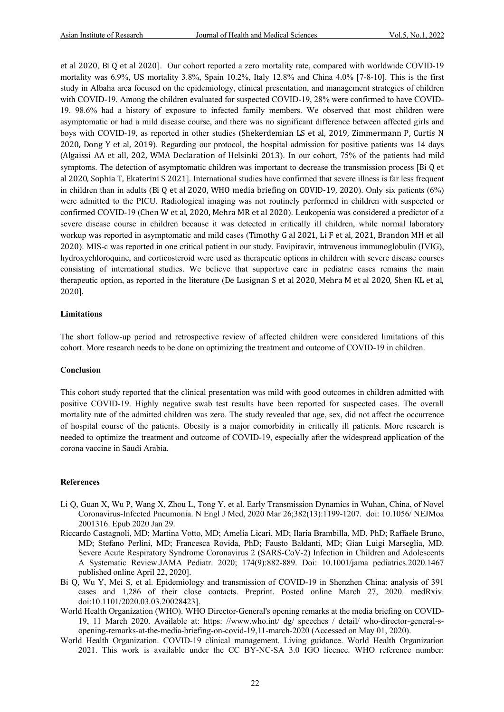et al 2020, Bi Q et al 2020]. Our cohort reported a zero mortality rate, compared with worldwide COVID-19 mortality was 6.9%, US mortality 3.8%, Spain 10.2%, Italy 12.8% and China 4.0% [7-8-10]. This is the first study in Albaha area focused on the epidemiology, clinical presentation, and management strategies of children with COVID-19. Among the children evaluated for suspected COVID-19, 28% were confirmed to have COVID-19. 98.6% had a history of exposure to infected family members. We observed that most children were asymptomatic or had a mild disease course, and there was no significant difference between affected girls and boys with COVID-19, as reported in other studies (Shekerdemian LS et al, 2019, Zimmermann P, Curtis N 2020, Dong Y et al, 2019). Regarding our protocol, the hospital admission for positive patients was 14 days (Algaissi AA et all, 202, WMA Declaration of Helsinki 2013). In our cohort, 75% of the patients had mild symptoms. The detection of asymptomatic children was important to decrease the transmission process [Bi Q et al 2020, Sophia T, Ekaterini S 2021]. International studies have confirmed that severe illness is far less frequent in children than in adults (Bi Q et al 2020, WHO media briefing on COVID-19, 2020). Only six patients (6%) were admitted to the PICU. Radiological imaging was not routinely performed in children with suspected or confirmed COVID-19 (Chen W et al, 2020, Mehra MR et al 2020). Leukopenia was considered a predictor of a severe disease course in children because it was detected in critically ill children, while normal laboratory workup was reported in asymptomatic and mild cases (Timothy G al 2021, Li F et al, 2021, Brandon MH et all 2020). MIS-c was reported in one critical patient in our study. Favipiravir, intravenous immunoglobulin (IVIG), hydroxychloroquine, and corticosteroid were used as therapeutic options in children with severe disease courses consisting of international studies. We believe that supportive care in pediatric cases remains the main therapeutic option, as reported in the literature (De Lusignan S et al 2020, Mehra M et al 2020, Shen KL et al, 2020].

#### **Limitations**

The short follow-up period and retrospective review of affected children were considered limitations of this cohort. More research needs to be done on optimizing the treatment and outcome of COVID-19 in children.

#### **Conclusion**

This cohort study reported that the clinical presentation was mild with good outcomes in children admitted with positive COVID-19. Highly negative swab test results have been reported for suspected cases. The overall mortality rate of the admitted children was zero. The study revealed that age, sex, did not affect the occurrence of hospital course of the patients. Obesity is a major comorbidity in critically ill patients. More research is needed to optimize the treatment and outcome of COVID-19, especially after the widespread application of the corona vaccine in Saudi Arabia.

#### **References**

- Li Q, Guan X, Wu P, Wang X, Zhou L, Tong Y, et al. Early Transmission Dynamics in Wuhan, China, of Novel Coronavirus-Infected Pneumonia. N Engl J Med, 2020 Mar 26;382(13):1199-1207. doi: 10.1056/ NEJMoa 2001316. Epub 2020 Jan 29.
- Riccardo Castagnoli, MD; Martina Votto, MD; Amelia Licari, MD; Ilaria Brambilla, MD, PhD; Raffaele Bruno, MD; Stefano Perlini, MD; Francesca Rovida, PhD; Fausto Baldanti, MD; Gian Luigi Marseglia, MD. Severe Acute Respiratory Syndrome Coronavirus 2 (SARS-CoV-2) Infection in Children and Adolescents A Systematic Review.JAMA Pediatr. 2020; 174(9):882-889. Doi: 10.1001/jama pediatrics.2020.1467 published online April 22, 2020].
- Bi Q, Wu Y, Mei S, et al. Epidemiology and transmission of COVID-19 in Shenzhen China: analysis of 391 cases and 1,286 of their close contacts. Preprint. Posted online March 27, 2020. medRxiv. doi:10.1101/2020.03.03.20028423].
- World Health Organization (WHO). WHO Director-General's opening remarks at the media briefing on COVID-19, 11 March 2020. Available at: https: //www.who.int/ dg/ speeches / detail/ who-director-general-sopening-remarks-at-the-media-briefing-on-covid-19,11-march-2020 (Accessed on May 01, 2020).
- World Health Organization. COVID-19 clinical management. Living guidance. World Health Organization 2021. This work is available under the CC BY-NC-SA 3.0 IGO licence. WHO reference number: